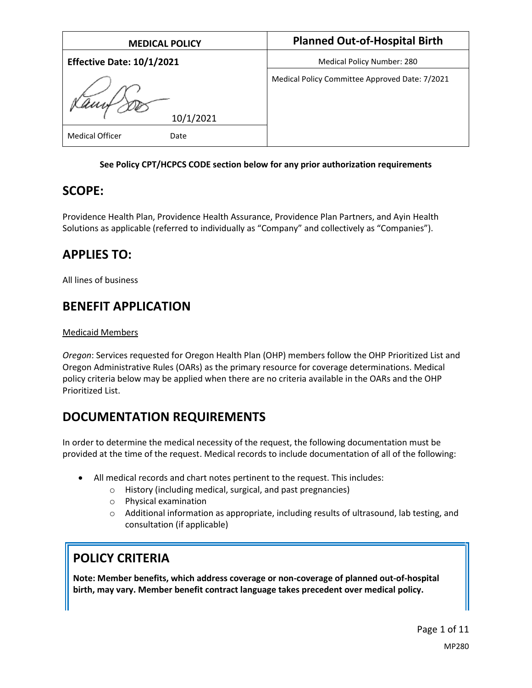| <b>MEDICAL POLICY</b>            | <b>Planned Out-of-Hospital Birth</b>           |
|----------------------------------|------------------------------------------------|
| <b>Effective Date: 10/1/2021</b> | Medical Policy Number: 280                     |
| Kampton<br>10/1/2021             | Medical Policy Committee Approved Date: 7/2021 |
| <b>Medical Officer</b><br>Date   |                                                |

### **See Policy CPT/HCPCS CODE section below for any prior authorization requirements**

## **SCOPE:**

Providence Health Plan, Providence Health Assurance, Providence Plan Partners, and Ayin Health Solutions as applicable (referred to individually as "Company" and collectively as "Companies").

# **APPLIES TO:**

All lines of business

# **BENEFIT APPLICATION**

### Medicaid Members

*Oregon*: Services requested for Oregon Health Plan (OHP) members follow the OHP Prioritized List and Oregon Administrative Rules (OARs) as the primary resource for coverage determinations. Medical policy criteria below may be applied when there are no criteria available in the OARs and the OHP Prioritized List.

# **DOCUMENTATION REQUIREMENTS**

In order to determine the medical necessity of the request, the following documentation must be provided at the time of the request. Medical records to include documentation of all of the following:

- All medical records and chart notes pertinent to the request. This includes:
	- o History (including medical, surgical, and past pregnancies)
	- o Physical examination
	- $\circ$  Additional information as appropriate, including results of ultrasound, lab testing, and consultation (if applicable)

# **POLICY CRITERIA**

**Note: Member benefits, which address coverage or non-coverage of planned out-of-hospital birth, may vary. Member benefit contract language takes precedent over medical policy.**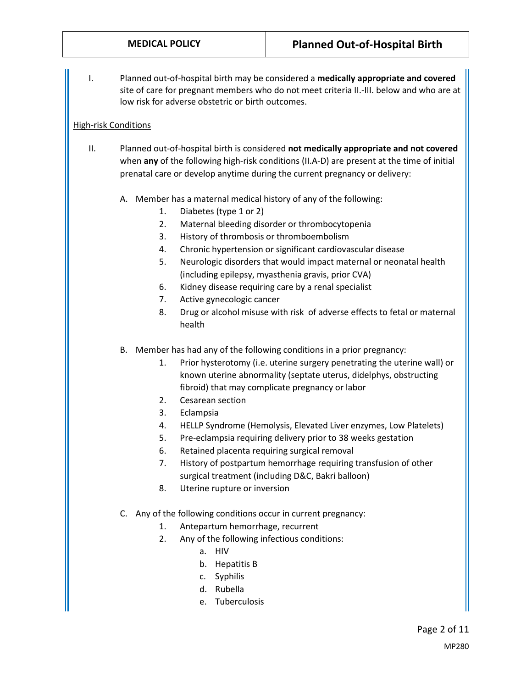I. Planned out-of-hospital birth may be considered a **medically appropriate and covered** site of care for pregnant members who do not meet criteria II.-III. below and who are at low risk for adverse obstetric or birth outcomes.

### High-risk Conditions

- II. Planned out-of-hospital birth is considered **not medically appropriate and not covered** when **any** of the following high-risk conditions (II.A-D) are present at the time of initial prenatal care or develop anytime during the current pregnancy or delivery:
	- A. Member has a maternal medical history of any of the following:
		- 1. Diabetes (type 1 or 2)
		- 2. Maternal bleeding disorder or thrombocytopenia
		- 3. History of thrombosis or thromboembolism
		- 4. Chronic hypertension or significant cardiovascular disease
		- 5. Neurologic disorders that would impact maternal or neonatal health (including epilepsy, myasthenia gravis, prior CVA)
		- 6. Kidney disease requiring care by a renal specialist
		- 7. Active gynecologic cancer
		- 8. Drug or alcohol misuse with risk of adverse effects to fetal or maternal health
	- B. Member has had any of the following conditions in a prior pregnancy:
		- 1. Prior hysterotomy (i.e. uterine surgery penetrating the uterine wall) or known uterine abnormality (septate uterus, didelphys, obstructing fibroid) that may complicate pregnancy or labor
		- 2. Cesarean section
		- 3. Eclampsia
		- 4. HELLP Syndrome (Hemolysis, Elevated Liver enzymes, Low Platelets)
		- 5. Pre-eclampsia requiring delivery prior to 38 weeks gestation
		- 6. Retained placenta requiring surgical removal
		- 7. History of postpartum hemorrhage requiring transfusion of other surgical treatment (including D&C, Bakri balloon)
		- 8. Uterine rupture or inversion
	- C. Any of the following conditions occur in current pregnancy:
		- 1. Antepartum hemorrhage, recurrent
		- 2. Any of the following infectious conditions:
			- a. HIV
			- b. Hepatitis B
			- c. Syphilis
			- d. Rubella
			- e. Tuberculosis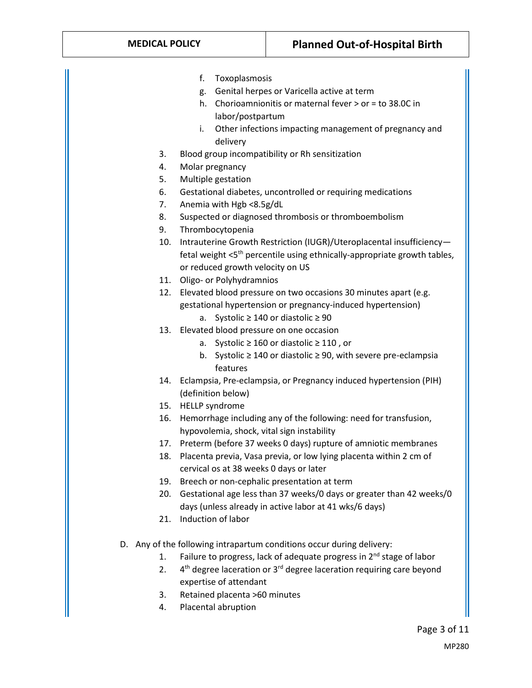- f. Toxoplasmosis
- g. Genital herpes or Varicella active at term
- h. Chorioamnionitis or maternal fever > or = to 38.0C in labor/postpartum
- i. Other infections impacting management of pregnancy and delivery
- 3. Blood group incompatibility or Rh sensitization
- 4. Molar pregnancy
- 5. Multiple gestation
- 6. Gestational diabetes, uncontrolled or requiring medications
- 7. Anemia with Hgb <8.5g/dL
- 8. Suspected or diagnosed thrombosis or thromboembolism
- 9. Thrombocytopenia
- 10. Intrauterine Growth Restriction (IUGR)/Uteroplacental insufficiency fetal weight  $<$ 5<sup>th</sup> percentile using ethnically-appropriate growth tables, or reduced growth velocity on US
- 11. Oligo- or Polyhydramnios
- 12. Elevated blood pressure on two occasions 30 minutes apart (e.g. gestational hypertension or pregnancy-induced hypertension)
	- a. Systolic ≥ 140 or diastolic ≥ 90
- 13. Elevated blood pressure on one occasion
	- a. Systolic ≥ 160 or diastolic ≥ 110 , or
	- b. Systolic ≥ 140 or diastolic ≥ 90, with severe pre-eclampsia features
- 14. Eclampsia, Pre-eclampsia, or Pregnancy induced hypertension (PIH) (definition below)
- 15. HELLP syndrome
- 16. Hemorrhage including any of the following: need for transfusion, hypovolemia, shock, vital sign instability
- 17. Preterm (before 37 weeks 0 days) rupture of amniotic membranes
- 18. Placenta previa, Vasa previa, or low lying placenta within 2 cm of cervical os at 38 weeks 0 days or later
- 19. Breech or non-cephalic presentation at term
- 20. Gestational age less than 37 weeks/0 days or greater than 42 weeks/0 days (unless already in active labor at 41 wks/6 days)
- 21. Induction of labor
- D. Any of the following intrapartum conditions occur during delivery:
	- 1. Failure to progress, lack of adequate progress in 2<sup>nd</sup> stage of labor
	- 2.  $4<sup>th</sup>$  degree laceration or  $3<sup>rd</sup>$  degree laceration requiring care beyond expertise of attendant
	- 3. Retained placenta >60 minutes
	- 4. Placental abruption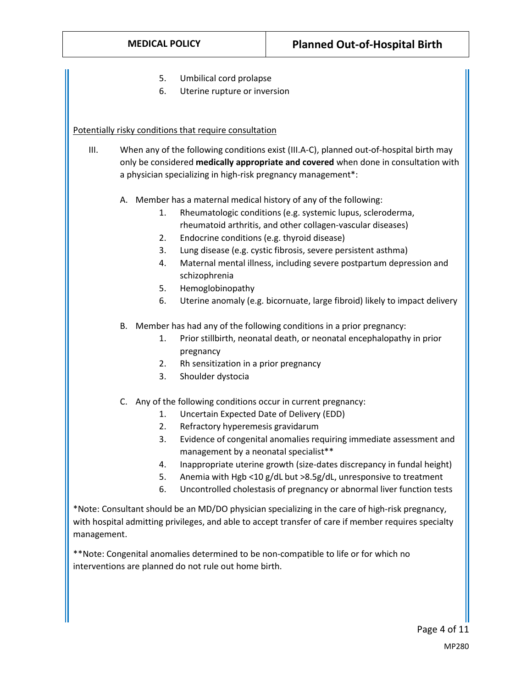- 5. Umbilical cord prolapse
- 6. Uterine rupture or inversion

#### Potentially risky conditions that require consultation

- III. When any of the following conditions exist (III.A-C), planned out-of-hospital birth may only be considered **medically appropriate and covered** when done in consultation with a physician specializing in high-risk pregnancy management\*:
	- A. Member has a maternal medical history of any of the following:
		- 1. Rheumatologic conditions (e.g. systemic lupus, scleroderma, rheumatoid arthritis, and other collagen-vascular diseases)
		- 2. Endocrine conditions (e.g. thyroid disease)
		- 3. Lung disease (e.g. cystic fibrosis, severe persistent asthma)
		- 4. Maternal mental illness, including severe postpartum depression and schizophrenia
		- 5. Hemoglobinopathy
		- 6. Uterine anomaly (e.g. bicornuate, large fibroid) likely to impact delivery
	- B. Member has had any of the following conditions in a prior pregnancy:
		- 1. Prior stillbirth, neonatal death, or neonatal encephalopathy in prior pregnancy
		- 2. Rh sensitization in a prior pregnancy
		- 3. Shoulder dystocia
	- C. Any of the following conditions occur in current pregnancy:
		- 1. Uncertain Expected Date of Delivery (EDD)
		- 2. Refractory hyperemesis gravidarum
		- 3. Evidence of congenital anomalies requiring immediate assessment and management by a neonatal specialist\*\*
		- 4. Inappropriate uterine growth (size-dates discrepancy in fundal height)
		- 5. Anemia with Hgb <10 g/dL but >8.5g/dL, unresponsive to treatment
		- 6. Uncontrolled cholestasis of pregnancy or abnormal liver function tests

\*Note: Consultant should be an MD/DO physician specializing in the care of high-risk pregnancy, with hospital admitting privileges, and able to accept transfer of care if member requires specialty management.

\*\*Note: Congenital anomalies determined to be non-compatible to life or for which no interventions are planned do not rule out home birth.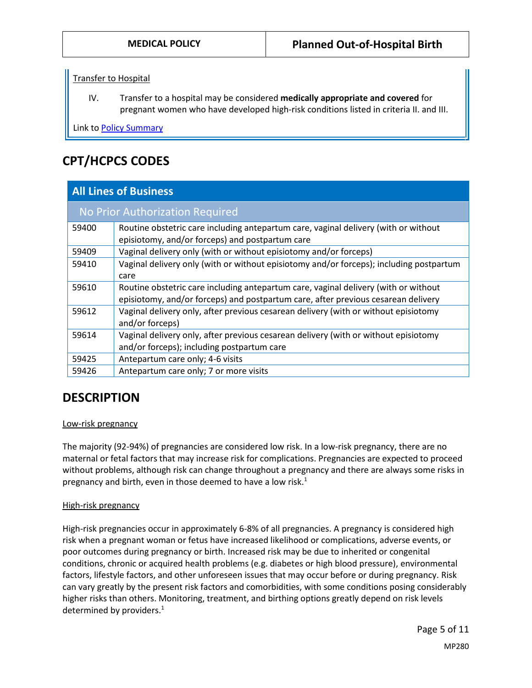Transfer to Hospital

IV. Transfer to a hospital may be considered **medically appropriate and covered** for pregnant women who have developed high-risk conditions listed in criteria II. and III.

Link t[o Policy Summary](#page-9-0)

# **CPT/HCPCS CODES**

| <b>All Lines of Business</b> |                                                                                                                                                                          |  |
|------------------------------|--------------------------------------------------------------------------------------------------------------------------------------------------------------------------|--|
|                              | No Prior Authorization Required                                                                                                                                          |  |
| 59400                        | Routine obstetric care including antepartum care, vaginal delivery (with or without<br>episiotomy, and/or forceps) and postpartum care                                   |  |
| 59409                        | Vaginal delivery only (with or without episiotomy and/or forceps)                                                                                                        |  |
| 59410                        | Vaginal delivery only (with or without episiotomy and/or forceps); including postpartum<br>care                                                                          |  |
| 59610                        | Routine obstetric care including antepartum care, vaginal delivery (with or without<br>episiotomy, and/or forceps) and postpartum care, after previous cesarean delivery |  |
| 59612                        | Vaginal delivery only, after previous cesarean delivery (with or without episiotomy<br>and/or forceps)                                                                   |  |
| 59614                        | Vaginal delivery only, after previous cesarean delivery (with or without episiotomy<br>and/or forceps); including postpartum care                                        |  |
| 59425                        | Antepartum care only; 4-6 visits                                                                                                                                         |  |
| 59426                        | Antepartum care only; 7 or more visits                                                                                                                                   |  |

# **DESCRIPTION**

#### Low-risk pregnancy

The majority (92-94%) of pregnancies are considered low risk. In a low-risk pregnancy, there are no maternal or fetal factors that may increase risk for complications. Pregnancies are expected to proceed without problems, although risk can change throughout a pregnancy and there are always some risks in pregnancy and birth, even in those deemed to have a low risk. $<sup>1</sup>$ </sup>

#### High-risk pregnancy

High-risk pregnancies occur in approximately 6-8% of all pregnancies. A pregnancy is considered high risk when a pregnant woman or fetus have increased likelihood or complications, adverse events, or poor outcomes during pregnancy or birth. Increased risk may be due to inherited or congenital conditions, chronic or acquired health problems (e.g. diabetes or high blood pressure), environmental factors, lifestyle factors, and other unforeseen issues that may occur before or during pregnancy. Risk can vary greatly by the present risk factors and comorbidities, with some conditions posing considerably higher risks than others. Monitoring, treatment, and birthing options greatly depend on risk levels determined by providers.<sup>1</sup>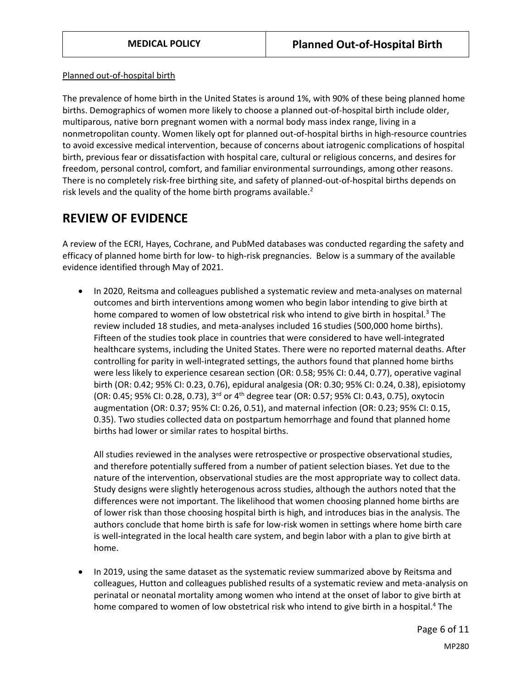Planned out-of-hospital birth

The prevalence of home birth in the United States is around 1%, with 90% of these being planned home births. Demographics of women more likely to choose a planned out-of-hospital birth include older, multiparous, native born pregnant women with a normal body mass index range, living in a nonmetropolitan county. Women likely opt for planned out-of-hospital births in high-resource countries to avoid excessive medical intervention, because of concerns about iatrogenic complications of hospital birth, previous fear or dissatisfaction with hospital care, cultural or religious concerns, and desires for freedom, personal control, comfort, and familiar environmental surroundings, among other reasons. There is no completely risk-free birthing site, and safety of planned-out-of-hospital births depends on risk levels and the quality of the home birth programs available.<sup>2</sup>

## **REVIEW OF EVIDENCE**

A review of the ECRI, Hayes, Cochrane, and PubMed databases was conducted regarding the safety and efficacy of planned home birth for low- to high-risk pregnancies. Below is a summary of the available evidence identified through May of 2021.

 In 2020, Reitsma and colleagues published a systematic review and meta-analyses on maternal outcomes and birth interventions among women who begin labor intending to give birth at home compared to women of low obstetrical risk who intend to give birth in hospital.<sup>3</sup> The review included 18 studies, and meta-analyses included 16 studies (500,000 home births). Fifteen of the studies took place in countries that were considered to have well-integrated healthcare systems, including the United States. There were no reported maternal deaths. After controlling for parity in well-integrated settings, the authors found that planned home births were less likely to experience cesarean section (OR: 0.58; 95% CI: 0.44, 0.77), operative vaginal birth (OR: 0.42; 95% CI: 0.23, 0.76), epidural analgesia (OR: 0.30; 95% CI: 0.24, 0.38), episiotomy (OR: 0.45; 95% CI: 0.28, 0.73), 3<sup>rd</sup> or 4<sup>th</sup> degree tear (OR: 0.57; 95% CI: 0.43, 0.75), oxytocin augmentation (OR: 0.37; 95% CI: 0.26, 0.51), and maternal infection (OR: 0.23; 95% CI: 0.15, 0.35). Two studies collected data on postpartum hemorrhage and found that planned home births had lower or similar rates to hospital births.

All studies reviewed in the analyses were retrospective or prospective observational studies, and therefore potentially suffered from a number of patient selection biases. Yet due to the nature of the intervention, observational studies are the most appropriate way to collect data. Study designs were slightly heterogenous across studies, although the authors noted that the differences were not important. The likelihood that women choosing planned home births are of lower risk than those choosing hospital birth is high, and introduces bias in the analysis. The authors conclude that home birth is safe for low-risk women in settings where home birth care is well-integrated in the local health care system, and begin labor with a plan to give birth at home.

 In 2019, using the same dataset as the systematic review summarized above by Reitsma and colleagues, Hutton and colleagues published results of a systematic review and meta-analysis on perinatal or neonatal mortality among women who intend at the onset of labor to give birth at home compared to women of low obstetrical risk who intend to give birth in a hospital.<sup>4</sup> The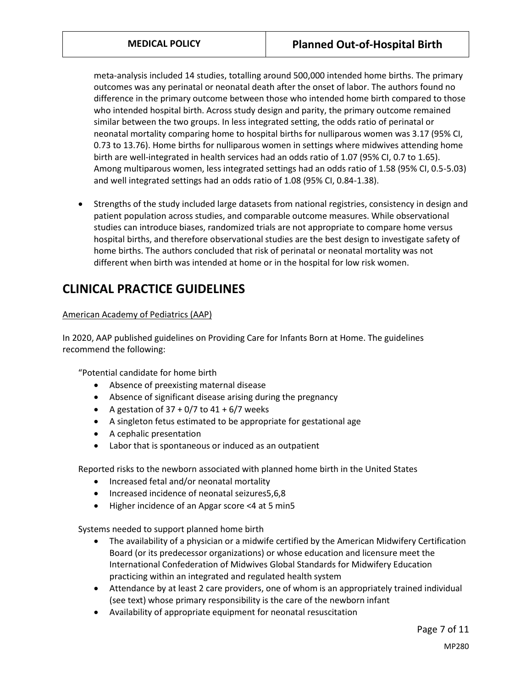meta-analysis included 14 studies, totalling around 500,000 intended home births. The primary outcomes was any perinatal or neonatal death after the onset of labor. The authors found no difference in the primary outcome between those who intended home birth compared to those who intended hospital birth. Across study design and parity, the primary outcome remained similar between the two groups. In less integrated setting, the odds ratio of perinatal or neonatal mortality comparing home to hospital births for nulliparous women was 3.17 (95% CI, 0.73 to 13.76). Home births for nulliparous women in settings where midwives attending home birth are well-integrated in health services had an odds ratio of 1.07 (95% CI, 0.7 to 1.65). Among multiparous women, less integrated settings had an odds ratio of 1.58 (95% CI, 0.5-5.03) and well integrated settings had an odds ratio of 1.08 (95% CI, 0.84-1.38).

 Strengths of the study included large datasets from national registries, consistency in design and patient population across studies, and comparable outcome measures. While observational studies can introduce biases, randomized trials are not appropriate to compare home versus hospital births, and therefore observational studies are the best design to investigate safety of home births. The authors concluded that risk of perinatal or neonatal mortality was not different when birth was intended at home or in the hospital for low risk women.

## **CLINICAL PRACTICE GUIDELINES**

### American Academy of Pediatrics (AAP)

In 2020, AAP published guidelines on Providing Care for Infants Born at Home. The guidelines recommend the following:

"Potential candidate for home birth

- Absence of preexisting maternal disease
- Absence of significant disease arising during the pregnancy
- A gestation of  $37 + 0/7$  to  $41 + 6/7$  weeks
- A singleton fetus estimated to be appropriate for gestational age
- A cephalic presentation
- Labor that is spontaneous or induced as an outpatient

Reported risks to the newborn associated with planned home birth in the United States

- Increased fetal and/or neonatal mortality
- Increased incidence of neonatal seizures5,6,8
- Higher incidence of an Apgar score <4 at 5 min5

Systems needed to support planned home birth

- The availability of a physician or a midwife certified by the American Midwifery Certification Board (or its predecessor organizations) or whose education and licensure meet the International Confederation of Midwives Global Standards for Midwifery Education practicing within an integrated and regulated health system
- Attendance by at least 2 care providers, one of whom is an appropriately trained individual (see text) whose primary responsibility is the care of the newborn infant
- Availability of appropriate equipment for neonatal resuscitation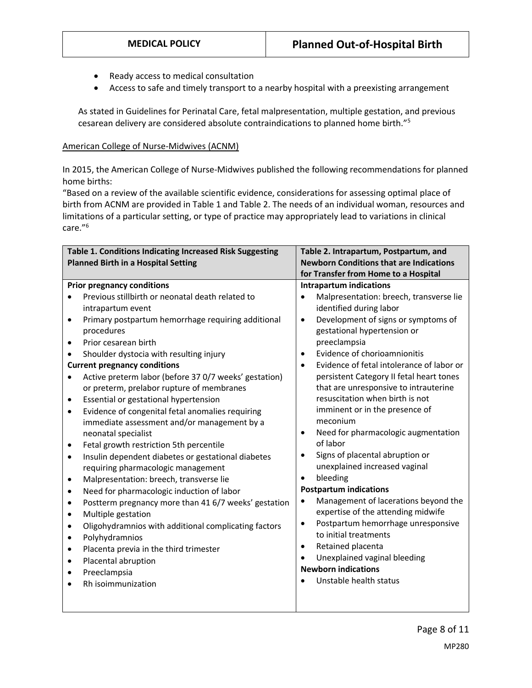- Ready access to medical consultation
- Access to safe and timely transport to a nearby hospital with a preexisting arrangement

As stated in Guidelines for Perinatal Care, fetal malpresentation, multiple gestation, and previous cesarean delivery are considered absolute contraindications to planned home birth."<sup>5</sup>

#### American College of Nurse-Midwives (ACNM)

In 2015, the American College of Nurse-Midwives published the following recommendations for planned home births:

"Based on a review of the available scientific evidence, considerations for assessing optimal place of birth from ACNM are provided in Table 1 and Table 2. The needs of an individual woman, resources and limitations of a particular setting, or type of practice may appropriately lead to variations in clinical care."<sup>6</sup>

| Table 1. Conditions Indicating Increased Risk Suggesting |                                                       | Table 2. Intrapartum, Postpartum, and                  |
|----------------------------------------------------------|-------------------------------------------------------|--------------------------------------------------------|
| <b>Planned Birth in a Hospital Setting</b>               |                                                       | <b>Newborn Conditions that are Indications</b>         |
|                                                          |                                                       | for Transfer from Home to a Hospital                   |
|                                                          | <b>Prior pregnancy conditions</b>                     | <b>Intrapartum indications</b>                         |
|                                                          | Previous stillbirth or neonatal death related to      | Malpresentation: breech, transverse lie                |
|                                                          | intrapartum event                                     | identified during labor                                |
| ٠                                                        | Primary postpartum hemorrhage requiring additional    | Development of signs or symptoms of<br>$\bullet$       |
|                                                          | procedures                                            | gestational hypertension or                            |
| $\bullet$                                                | Prior cesarean birth                                  | preeclampsia                                           |
|                                                          | Shoulder dystocia with resulting injury               | Evidence of chorioamnionitis<br>$\bullet$              |
|                                                          | <b>Current pregnancy conditions</b>                   | Evidence of fetal intolerance of labor or<br>$\bullet$ |
| $\bullet$                                                | Active preterm labor (before 37 0/7 weeks' gestation) | persistent Category II fetal heart tones               |
|                                                          | or preterm, prelabor rupture of membranes             | that are unresponsive to intrauterine                  |
| ٠                                                        | Essential or gestational hypertension                 | resuscitation when birth is not                        |
| $\bullet$                                                | Evidence of congenital fetal anomalies requiring      | imminent or in the presence of                         |
|                                                          | immediate assessment and/or management by a           | meconium                                               |
|                                                          | neonatal specialist                                   | Need for pharmacologic augmentation<br>$\bullet$       |
| ٠                                                        | Fetal growth restriction 5th percentile               | of labor                                               |
| ٠                                                        | Insulin dependent diabetes or gestational diabetes    | Signs of placental abruption or<br>$\bullet$           |
|                                                          | requiring pharmacologic management                    | unexplained increased vaginal                          |
| ٠                                                        | Malpresentation: breech, transverse lie               | bleeding<br>$\bullet$                                  |
| ٠                                                        | Need for pharmacologic induction of labor             | <b>Postpartum indications</b>                          |
| ٠                                                        | Postterm pregnancy more than 41 6/7 weeks' gestation  | Management of lacerations beyond the<br>$\bullet$      |
| $\bullet$                                                | Multiple gestation                                    | expertise of the attending midwife                     |
| ٠                                                        | Oligohydramnios with additional complicating factors  | Postpartum hemorrhage unresponsive<br>$\bullet$        |
| $\bullet$                                                | Polyhydramnios                                        | to initial treatments                                  |
| $\bullet$                                                | Placenta previa in the third trimester                | Retained placenta<br>$\bullet$                         |
| ٠                                                        | Placental abruption                                   | Unexplained vaginal bleeding                           |
| ٠                                                        | Preeclampsia                                          | <b>Newborn indications</b>                             |
|                                                          | Rh isoimmunization                                    | Unstable health status                                 |
|                                                          |                                                       |                                                        |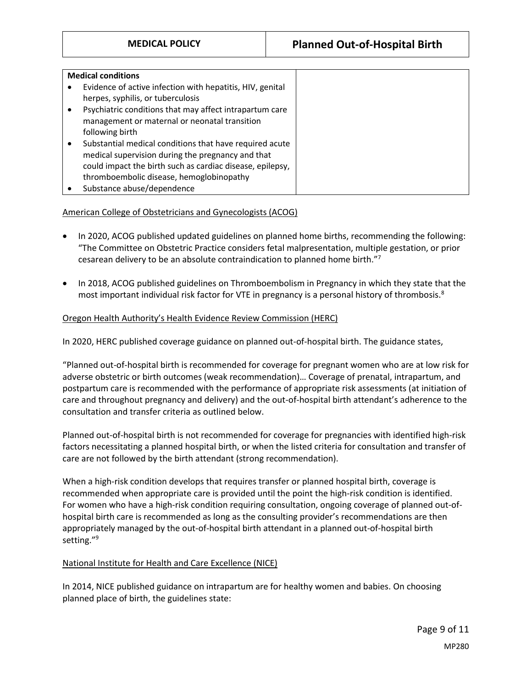| <b>Medical conditions</b> |                                                           |  |  |
|---------------------------|-----------------------------------------------------------|--|--|
|                           | Evidence of active infection with hepatitis, HIV, genital |  |  |
|                           | herpes, syphilis, or tuberculosis                         |  |  |
|                           | Psychiatric conditions that may affect intrapartum care   |  |  |
|                           | management or maternal or neonatal transition             |  |  |
|                           | following birth                                           |  |  |
|                           | Substantial medical conditions that have required acute   |  |  |
|                           | medical supervision during the pregnancy and that         |  |  |
|                           | could impact the birth such as cardiac disease, epilepsy, |  |  |
|                           | thromboembolic disease, hemoglobinopathy                  |  |  |
|                           | Substance abuse/dependence                                |  |  |

### American College of Obstetricians and Gynecologists (ACOG)

- In 2020, ACOG published updated guidelines on planned home births, recommending the following: "The Committee on Obstetric Practice considers fetal malpresentation, multiple gestation, or prior cesarean delivery to be an absolute contraindication to planned home birth."<sup>7</sup>
- In 2018, ACOG published guidelines on Thromboembolism in Pregnancy in which they state that the most important individual risk factor for VTE in pregnancy is a personal history of thrombosis.<sup>8</sup>

#### Oregon Health Authority's Health Evidence Review Commission (HERC)

In 2020, HERC published coverage guidance on planned out-of-hospital birth. The guidance states,

"Planned out-of-hospital birth is recommended for coverage for pregnant women who are at low risk for adverse obstetric or birth outcomes (weak recommendation)… Coverage of prenatal, intrapartum, and postpartum care is recommended with the performance of appropriate risk assessments (at initiation of care and throughout pregnancy and delivery) and the out-of-hospital birth attendant's adherence to the consultation and transfer criteria as outlined below.

Planned out-of-hospital birth is not recommended for coverage for pregnancies with identified high-risk factors necessitating a planned hospital birth, or when the listed criteria for consultation and transfer of care are not followed by the birth attendant (strong recommendation).

When a high-risk condition develops that requires transfer or planned hospital birth, coverage is recommended when appropriate care is provided until the point the high-risk condition is identified. For women who have a high-risk condition requiring consultation, ongoing coverage of planned out-ofhospital birth care is recommended as long as the consulting provider's recommendations are then appropriately managed by the out-of-hospital birth attendant in a planned out-of-hospital birth setting." 9

#### National Institute for Health and Care Excellence (NICE)

In 2014, NICE published guidance on intrapartum are for healthy women and babies. On choosing planned place of birth, the guidelines state: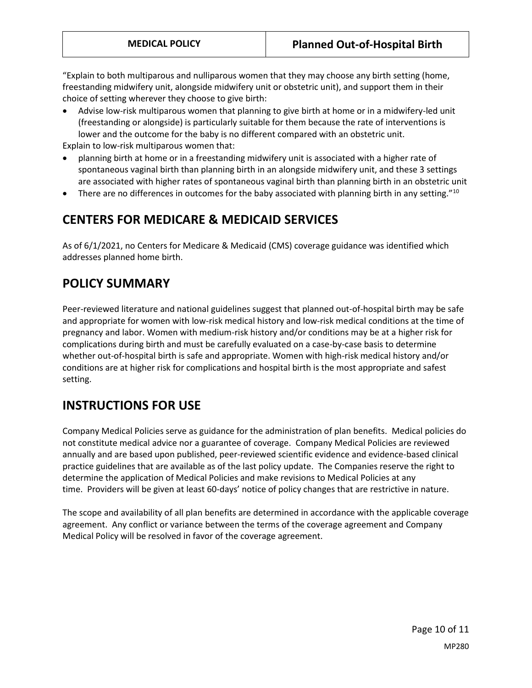"Explain to both multiparous and nulliparous women that they may choose any birth setting (home, freestanding midwifery unit, alongside midwifery unit or obstetric unit), and support them in their choice of setting wherever they choose to give birth:

 Advise low-risk multiparous women that planning to give birth at home or in a midwifery-led unit (freestanding or alongside) is particularly suitable for them because the rate of interventions is lower and the outcome for the baby is no different compared with an obstetric unit.

Explain to low-risk multiparous women that:

- planning birth at home or in a freestanding midwifery unit is associated with a higher rate of spontaneous vaginal birth than planning birth in an alongside midwifery unit, and these 3 settings are associated with higher rates of spontaneous vaginal birth than planning birth in an obstetric unit
- **•** There are no differences in outcomes for the baby associated with planning birth in any setting."<sup>10</sup>

## **CENTERS FOR MEDICARE & MEDICAID SERVICES**

As of 6/1/2021, no Centers for Medicare & Medicaid (CMS) coverage guidance was identified which addresses planned home birth.

## <span id="page-9-0"></span>**POLICY SUMMARY**

Peer-reviewed literature and national guidelines suggest that planned out-of-hospital birth may be safe and appropriate for women with low-risk medical history and low-risk medical conditions at the time of pregnancy and labor. Women with medium-risk history and/or conditions may be at a higher risk for complications during birth and must be carefully evaluated on a case-by-case basis to determine whether out-of-hospital birth is safe and appropriate. Women with high-risk medical history and/or conditions are at higher risk for complications and hospital birth is the most appropriate and safest setting.

# **INSTRUCTIONS FOR USE**

Company Medical Policies serve as guidance for the administration of plan benefits. Medical policies do not constitute medical advice nor a guarantee of coverage. Company Medical Policies are reviewed annually and are based upon published, peer-reviewed scientific evidence and evidence-based clinical practice guidelines that are available as of the last policy update. The Companies reserve the right to determine the application of Medical Policies and make revisions to Medical Policies at any time. Providers will be given at least 60-days' notice of policy changes that are restrictive in nature.

The scope and availability of all plan benefits are determined in accordance with the applicable coverage agreement. Any conflict or variance between the terms of the coverage agreement and Company Medical Policy will be resolved in favor of the coverage agreement.